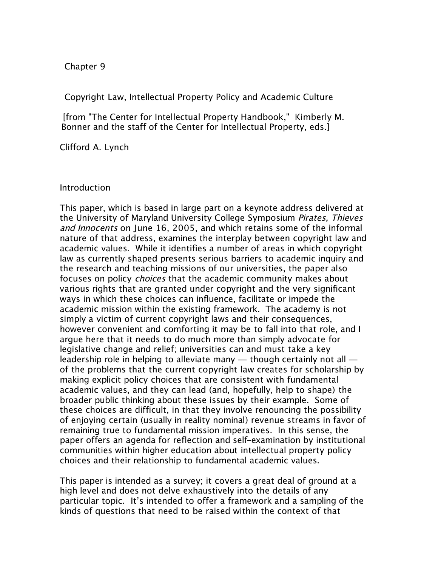### Chapter 9

Copyright Law, Intellectual Property Policy and Academic Culture

[from "The Center for Intellectual Property Handbook," Kimberly M. Bonner and the staff of the Center for Intellectual Property, eds.]

Clifford A. Lynch

#### Introduction

This paper, which is based in large part on a keynote address delivered at the University of Maryland University College Symposium Pirates, Thieves and Innocents on June 16, 2005, and which retains some of the informal nature of that address, examines the interplay between copyright law and academic values. While it identifies a number of areas in which copyright law as currently shaped presents serious barriers to academic inquiry and the research and teaching missions of our universities, the paper also focuses on policy *choices* that the academic community makes about various rights that are granted under copyright and the very significant ways in which these choices can influence, facilitate or impede the academic mission within the existing framework. The academy is not simply a victim of current copyright laws and their consequences, however convenient and comforting it may be to fall into that role, and I argue here that it needs to do much more than simply advocate for legislative change and relief; universities can and must take a key leadership role in helping to alleviate many — though certainly not all of the problems that the current copyright law creates for scholarship by making explicit policy choices that are consistent with fundamental academic values, and they can lead (and, hopefully, help to shape) the broader public thinking about these issues by their example. Some of these choices are difficult, in that they involve renouncing the possibility of enjoying certain (usually in reality nominal) revenue streams in favor of remaining true to fundamental mission imperatives. In this sense, the paper offers an agenda for reflection and self-examination by institutional communities within higher education about intellectual property policy choices and their relationship to fundamental academic values.

This paper is intended as a survey; it covers a great deal of ground at a high level and does not delve exhaustively into the details of any particular topic. It's intended to offer a framework and a sampling of the kinds of questions that need to be raised within the context of that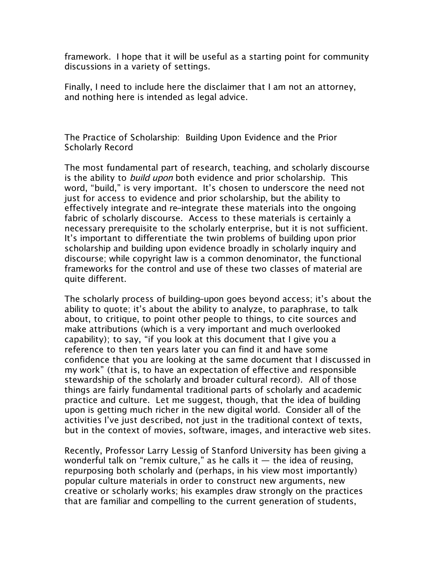framework. I hope that it will be useful as a starting point for community discussions in a variety of settings.

Finally, I need to include here the disclaimer that I am not an attorney, and nothing here is intended as legal advice.

The Practice of Scholarship: Building Upon Evidence and the Prior Scholarly Record

The most fundamental part of research, teaching, and scholarly discourse is the ability to *build upon* both evidence and prior scholarship. This word, "build," is very important. It's chosen to underscore the need not just for access to evidence and prior scholarship, but the ability to effectively integrate and re-integrate these materials into the ongoing fabric of scholarly discourse. Access to these materials is certainly a necessary prerequisite to the scholarly enterprise, but it is not sufficient. It's important to differentiate the twin problems of building upon prior scholarship and building upon evidence broadly in scholarly inquiry and discourse; while copyright law is a common denominator, the functional frameworks for the control and use of these two classes of material are quite different.

The scholarly process of building-upon goes beyond access; it's about the ability to quote; it's about the ability to analyze, to paraphrase, to talk about, to critique, to point other people to things, to cite sources and make attributions (which is a very important and much overlooked capability); to say, "if you look at this document that I give you a reference to then ten years later you can find it and have some confidence that you are looking at the same document that I discussed in my work" (that is, to have an expectation of effective and responsible stewardship of the scholarly and broader cultural record). All of those things are fairly fundamental traditional parts of scholarly and academic practice and culture. Let me suggest, though, that the idea of building upon is getting much richer in the new digital world. Consider all of the activities I've just described, not just in the traditional context of texts, but in the context of movies, software, images, and interactive web sites.

Recently, Professor Larry Lessig of Stanford University has been giving a wonderful talk on "remix culture," as he calls it  $-$  the idea of reusing, repurposing both scholarly and (perhaps, in his view most importantly) popular culture materials in order to construct new arguments, new creative or scholarly works; his examples draw strongly on the practices that are familiar and compelling to the current generation of students,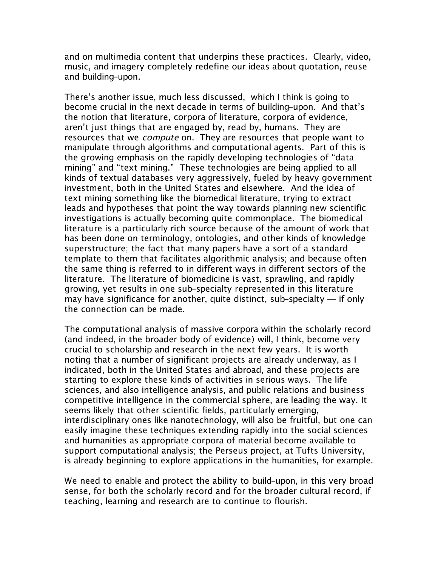and on multimedia content that underpins these practices. Clearly, video, music, and imagery completely redefine our ideas about quotation, reuse and building-upon.

There's another issue, much less discussed, which I think is going to become crucial in the next decade in terms of building-upon. And that's the notion that literature, corpora of literature, corpora of evidence, aren't just things that are engaged by, read by, humans. They are resources that we *compute* on. They are resources that people want to manipulate through algorithms and computational agents. Part of this is the growing emphasis on the rapidly developing technologies of "data mining" and "text mining." These technologies are being applied to all kinds of textual databases very aggressively, fueled by heavy government investment, both in the United States and elsewhere. And the idea of text mining something like the biomedical literature, trying to extract leads and hypotheses that point the way towards planning new scientific investigations is actually becoming quite commonplace. The biomedical literature is a particularly rich source because of the amount of work that has been done on terminology, ontologies, and other kinds of knowledge superstructure; the fact that many papers have a sort of a standard template to them that facilitates algorithmic analysis; and because often the same thing is referred to in different ways in different sectors of the literature. The literature of biomedicine is vast, sprawling, and rapidly growing, yet results in one sub-specialty represented in this literature may have significance for another, quite distinct, sub-specialty — if only the connection can be made.

The computational analysis of massive corpora within the scholarly record (and indeed, in the broader body of evidence) will, I think, become very crucial to scholarship and research in the next few years. It is worth noting that a number of significant projects are already underway, as I indicated, both in the United States and abroad, and these projects are starting to explore these kinds of activities in serious ways. The life sciences, and also intelligence analysis, and public relations and business competitive intelligence in the commercial sphere, are leading the way. It seems likely that other scientific fields, particularly emerging, interdisciplinary ones like nanotechnology, will also be fruitful, but one can easily imagine these techniques extending rapidly into the social sciences and humanities as appropriate corpora of material become available to support computational analysis; the Perseus project, at Tufts University, is already beginning to explore applications in the humanities, for example.

We need to enable and protect the ability to build-upon, in this very broad sense, for both the scholarly record and for the broader cultural record, if teaching, learning and research are to continue to flourish.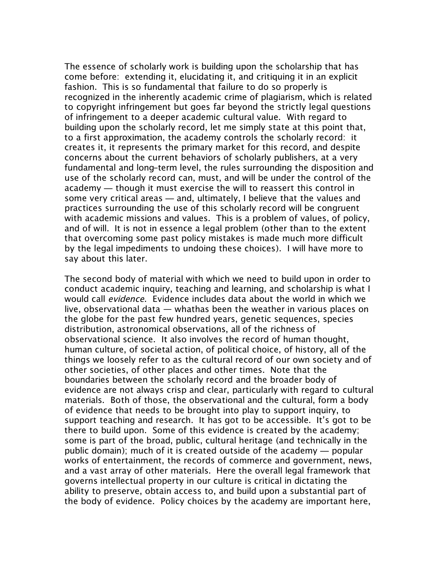The essence of scholarly work is building upon the scholarship that has come before: extending it, elucidating it, and critiquing it in an explicit fashion. This is so fundamental that failure to do so properly is recognized in the inherently academic crime of plagiarism, which is related to copyright infringement but goes far beyond the strictly legal questions of infringement to a deeper academic cultural value. With regard to building upon the scholarly record, let me simply state at this point that, to a first approximation, the academy controls the scholarly record: it creates it, it represents the primary market for this record, and despite concerns about the current behaviors of scholarly publishers, at a very fundamental and long-term level, the rules surrounding the disposition and use of the scholarly record can, must, and will be under the control of the academy — though it must exercise the will to reassert this control in some very critical areas — and, ultimately, I believe that the values and practices surrounding the use of this scholarly record will be congruent with academic missions and values. This is a problem of values, of policy, and of will. It is not in essence a legal problem (other than to the extent that overcoming some past policy mistakes is made much more difficult by the legal impediments to undoing these choices). I will have more to say about this later.

The second body of material with which we need to build upon in order to conduct academic inquiry, teaching and learning, and scholarship is what I would call evidence. Evidence includes data about the world in which we live, observational data — whathas been the weather in various places on the globe for the past few hundred years, genetic sequences, species distribution, astronomical observations, all of the richness of observational science. It also involves the record of human thought, human culture, of societal action, of political choice, of history, all of the things we loosely refer to as the cultural record of our own society and of other societies, of other places and other times. Note that the boundaries between the scholarly record and the broader body of evidence are not always crisp and clear, particularly with regard to cultural materials. Both of those, the observational and the cultural, form a body of evidence that needs to be brought into play to support inquiry, to support teaching and research. It has got to be accessible. It's got to be there to build upon. Some of this evidence is created by the academy; some is part of the broad, public, cultural heritage (and technically in the public domain); much of it is created outside of the academy — popular works of entertainment, the records of commerce and government, news, and a vast array of other materials. Here the overall legal framework that governs intellectual property in our culture is critical in dictating the ability to preserve, obtain access to, and build upon a substantial part of the body of evidence. Policy choices by the academy are important here,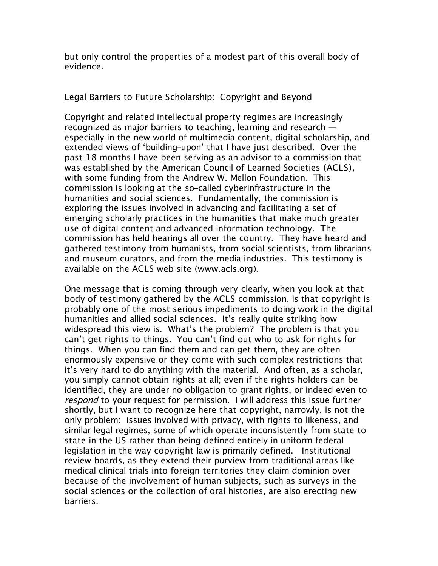but only control the properties of a modest part of this overall body of evidence.

Legal Barriers to Future Scholarship: Copyright and Beyond

Copyright and related intellectual property regimes are increasingly recognized as major barriers to teaching, learning and research especially in the new world of multimedia content, digital scholarship, and extended views of 'building-upon' that I have just described. Over the past 18 months I have been serving as an advisor to a commission that was established by the American Council of Learned Societies (ACLS), with some funding from the Andrew W. Mellon Foundation. This commission is looking at the so-called cyberinfrastructure in the humanities and social sciences. Fundamentally, the commission is exploring the issues involved in advancing and facilitating a set of emerging scholarly practices in the humanities that make much greater use of digital content and advanced information technology. The commission has held hearings all over the country. They have heard and gathered testimony from humanists, from social scientists, from librarians and museum curators, and from the media industries. This testimony is available on the ACLS web site (www.acls.org).

One message that is coming through very clearly, when you look at that body of testimony gathered by the ACLS commission, is that copyright is probably one of the most serious impediments to doing work in the digital humanities and allied social sciences. It's really quite striking how widespread this view is. What's the problem? The problem is that you can't get rights to things. You can't find out who to ask for rights for things. When you can find them and can get them, they are often enormously expensive or they come with such complex restrictions that it's very hard to do anything with the material. And often, as a scholar, you simply cannot obtain rights at all; even if the rights holders can be identified, they are under no obligation to grant rights, or indeed even to respond to your request for permission. I will address this issue further shortly, but I want to recognize here that copyright, narrowly, is not the only problem: issues involved with privacy, with rights to likeness, and similar legal regimes, some of which operate inconsistently from state to state in the US rather than being defined entirely in uniform federal legislation in the way copyright law is primarily defined. Institutional review boards, as they extend their purview from traditional areas like medical clinical trials into foreign territories they claim dominion over because of the involvement of human subjects, such as surveys in the social sciences or the collection of oral histories, are also erecting new barriers.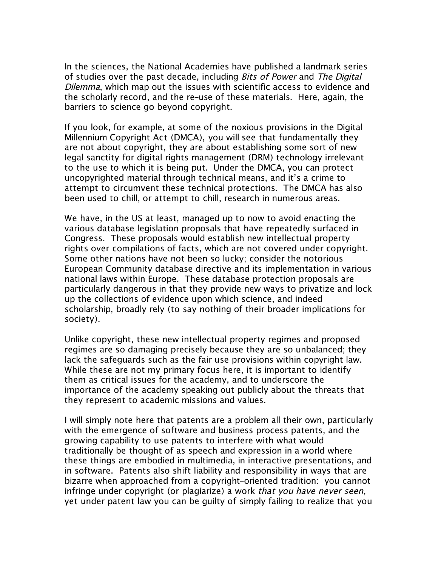In the sciences, the National Academies have published a landmark series of studies over the past decade, including Bits of Power and The Digital Dilemma, which map out the issues with scientific access to evidence and the scholarly record, and the re-use of these materials. Here, again, the barriers to science go beyond copyright.

If you look, for example, at some of the noxious provisions in the Digital Millennium Copyright Act (DMCA), you will see that fundamentally they are not about copyright, they are about establishing some sort of new legal sanctity for digital rights management (DRM) technology irrelevant to the use to which it is being put. Under the DMCA, you can protect uncopyrighted material through technical means, and it's a crime to attempt to circumvent these technical protections. The DMCA has also been used to chill, or attempt to chill, research in numerous areas.

We have, in the US at least, managed up to now to avoid enacting the various database legislation proposals that have repeatedly surfaced in Congress. These proposals would establish new intellectual property rights over compilations of facts, which are not covered under copyright. Some other nations have not been so lucky; consider the notorious European Community database directive and its implementation in various national laws within Europe. These database protection proposals are particularly dangerous in that they provide new ways to privatize and lock up the collections of evidence upon which science, and indeed scholarship, broadly rely (to say nothing of their broader implications for society).

Unlike copyright, these new intellectual property regimes and proposed regimes are so damaging precisely because they are so unbalanced; they lack the safeguards such as the fair use provisions within copyright law. While these are not my primary focus here, it is important to identify them as critical issues for the academy, and to underscore the importance of the academy speaking out publicly about the threats that they represent to academic missions and values.

I will simply note here that patents are a problem all their own, particularly with the emergence of software and business process patents, and the growing capability to use patents to interfere with what would traditionally be thought of as speech and expression in a world where these things are embodied in multimedia, in interactive presentations, and in software. Patents also shift liability and responsibility in ways that are bizarre when approached from a copyright-oriented tradition: you cannot infringe under copyright (or plagiarize) a work that you have never seen, yet under patent law you can be guilty of simply failing to realize that you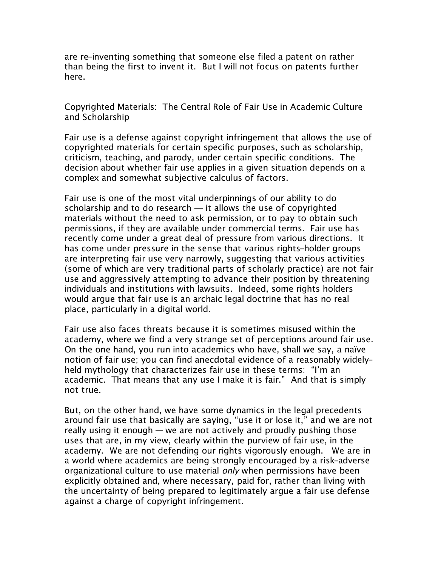are re-inventing something that someone else filed a patent on rather than being the first to invent it. But I will not focus on patents further here.

Copyrighted Materials: The Central Role of Fair Use in Academic Culture and Scholarship

Fair use is a defense against copyright infringement that allows the use of copyrighted materials for certain specific purposes, such as scholarship, criticism, teaching, and parody, under certain specific conditions. The decision about whether fair use applies in a given situation depends on a complex and somewhat subjective calculus of factors.

Fair use is one of the most vital underpinnings of our ability to do scholarship and to do research — it allows the use of copyrighted materials without the need to ask permission, or to pay to obtain such permissions, if they are available under commercial terms. Fair use has recently come under a great deal of pressure from various directions. It has come under pressure in the sense that various rights-holder groups are interpreting fair use very narrowly, suggesting that various activities (some of which are very traditional parts of scholarly practice) are not fair use and aggressively attempting to advance their position by threatening individuals and institutions with lawsuits. Indeed, some rights holders would argue that fair use is an archaic legal doctrine that has no real place, particularly in a digital world.

Fair use also faces threats because it is sometimes misused within the academy, where we find a very strange set of perceptions around fair use. On the one hand, you run into academics who have, shall we say, a naïve notion of fair use; you can find anecdotal evidence of a reasonably widelyheld mythology that characterizes fair use in these terms: "I'm an academic. That means that any use I make it is fair." And that is simply not true.

But, on the other hand, we have some dynamics in the legal precedents around fair use that basically are saying, "use it or lose it," and we are not really using it enough  $-$  we are not actively and proudly pushing those uses that are, in my view, clearly within the purview of fair use, in the academy. We are not defending our rights vigorously enough. We are in a world where academics are being strongly encouraged by a risk-adverse organizational culture to use material *only* when permissions have been explicitly obtained and, where necessary, paid for, rather than living with the uncertainty of being prepared to legitimately argue a fair use defense against a charge of copyright infringement.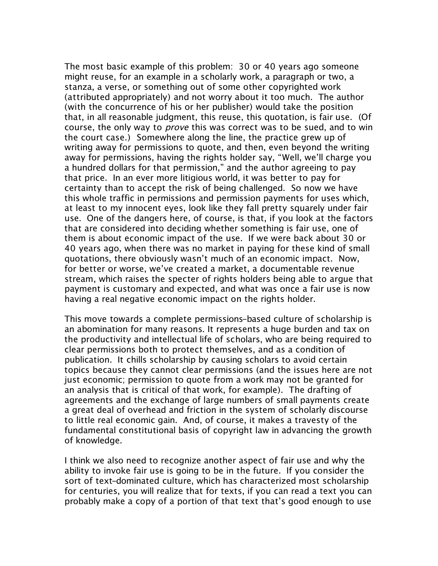The most basic example of this problem: 30 or 40 years ago someone might reuse, for an example in a scholarly work, a paragraph or two, a stanza, a verse, or something out of some other copyrighted work (attributed appropriately) and not worry about it too much. The author (with the concurrence of his or her publisher) would take the position that, in all reasonable judgment, this reuse, this quotation, is fair use. (Of course, the only way to *prove* this was correct was to be sued, and to win the court case.) Somewhere along the line, the practice grew up of writing away for permissions to quote, and then, even beyond the writing away for permissions, having the rights holder say, "Well, we'll charge you a hundred dollars for that permission," and the author agreeing to pay that price. In an ever more litigious world, it was better to pay for certainty than to accept the risk of being challenged. So now we have this whole traffic in permissions and permission payments for uses which, at least to my innocent eyes, look like they fall pretty squarely under fair use. One of the dangers here, of course, is that, if you look at the factors that are considered into deciding whether something is fair use, one of them is about economic impact of the use. If we were back about 30 or 40 years ago, when there was no market in paying for these kind of small quotations, there obviously wasn't much of an economic impact. Now, for better or worse, we've created a market, a documentable revenue stream, which raises the specter of rights holders being able to argue that payment is customary and expected, and what was once a fair use is now having a real negative economic impact on the rights holder.

This move towards a complete permissions-based culture of scholarship is an abomination for many reasons. It represents a huge burden and tax on the productivity and intellectual life of scholars, who are being required to clear permissions both to protect themselves, and as a condition of publication. It chills scholarship by causing scholars to avoid certain topics because they cannot clear permissions (and the issues here are not just economic; permission to quote from a work may not be granted for an analysis that is critical of that work, for example). The drafting of agreements and the exchange of large numbers of small payments create a great deal of overhead and friction in the system of scholarly discourse to little real economic gain. And, of course, it makes a travesty of the fundamental constitutional basis of copyright law in advancing the growth of knowledge.

I think we also need to recognize another aspect of fair use and why the ability to invoke fair use is going to be in the future. If you consider the sort of text-dominated culture, which has characterized most scholarship for centuries, you will realize that for texts, if you can read a text you can probably make a copy of a portion of that text that's good enough to use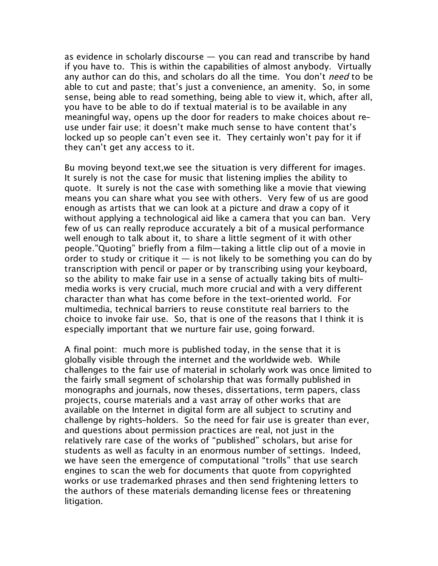as evidence in scholarly discourse — you can read and transcribe by hand if you have to. This is within the capabilities of almost anybody. Virtually any author can do this, and scholars do all the time. You don't *need* to be able to cut and paste; that's just a convenience, an amenity. So, in some sense, being able to read something, being able to view it, which, after all, you have to be able to do if textual material is to be available in any meaningful way, opens up the door for readers to make choices about reuse under fair use; it doesn't make much sense to have content that's locked up so people can't even see it. They certainly won't pay for it if they can't get any access to it.

Bu moving beyond text,we see the situation is very different for images. It surely is not the case for music that listening implies the ability to quote. It surely is not the case with something like a movie that viewing means you can share what you see with others. Very few of us are good enough as artists that we can look at a picture and draw a copy of it without applying a technological aid like a camera that you can ban. Very few of us can really reproduce accurately a bit of a musical performance well enough to talk about it, to share a little segment of it with other people."Quoting" briefly from a film—taking a little clip out of a movie in order to study or critique it  $-$  is not likely to be something you can do by transcription with pencil or paper or by transcribing using your keyboard, so the ability to make fair use in a sense of actually taking bits of multimedia works is very crucial, much more crucial and with a very different character than what has come before in the text-oriented world. For multimedia, technical barriers to reuse constitute real barriers to the choice to invoke fair use. So, that is one of the reasons that I think it is especially important that we nurture fair use, going forward.

A final point: much more is published today, in the sense that it is globally visible through the internet and the worldwide web. While challenges to the fair use of material in scholarly work was once limited to the fairly small segment of scholarship that was formally published in monographs and journals, now theses, dissertations, term papers, class projects, course materials and a vast array of other works that are available on the Internet in digital form are all subject to scrutiny and challenge by rights-holders. So the need for fair use is greater than ever, and questions about permission practices are real, not just in the relatively rare case of the works of "published" scholars, but arise for students as well as faculty in an enormous number of settings. Indeed, we have seen the emergence of computational "trolls" that use search engines to scan the web for documents that quote from copyrighted works or use trademarked phrases and then send frightening letters to the authors of these materials demanding license fees or threatening litigation.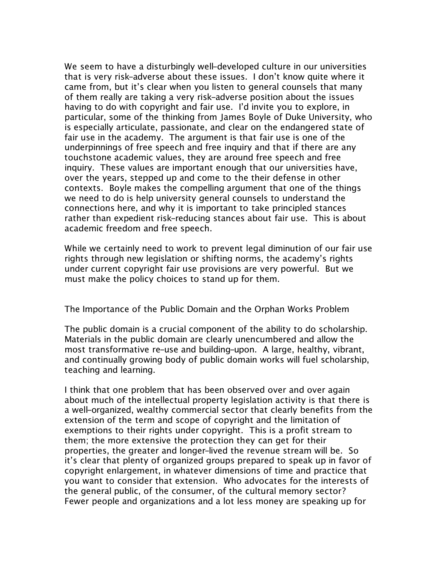We seem to have a disturbingly well-developed culture in our universities that is very risk-adverse about these issues. I don't know quite where it came from, but it's clear when you listen to general counsels that many of them really are taking a very risk-adverse position about the issues having to do with copyright and fair use. I'd invite you to explore, in particular, some of the thinking from James Boyle of Duke University, who is especially articulate, passionate, and clear on the endangered state of fair use in the academy. The argument is that fair use is one of the underpinnings of free speech and free inquiry and that if there are any touchstone academic values, they are around free speech and free inquiry. These values are important enough that our universities have, over the years, stepped up and come to the their defense in other contexts. Boyle makes the compelling argument that one of the things we need to do is help university general counsels to understand the connections here, and why it is important to take principled stances rather than expedient risk-reducing stances about fair use. This is about academic freedom and free speech.

While we certainly need to work to prevent legal diminution of our fair use rights through new legislation or shifting norms, the academy's rights under current copyright fair use provisions are very powerful. But we must make the policy choices to stand up for them.

The Importance of the Public Domain and the Orphan Works Problem

The public domain is a crucial component of the ability to do scholarship. Materials in the public domain are clearly unencumbered and allow the most transformative re-use and building-upon. A large, healthy, vibrant, and continually growing body of public domain works will fuel scholarship, teaching and learning.

I think that one problem that has been observed over and over again about much of the intellectual property legislation activity is that there is a well-organized, wealthy commercial sector that clearly benefits from the extension of the term and scope of copyright and the limitation of exemptions to their rights under copyright. This is a profit stream to them; the more extensive the protection they can get for their properties, the greater and longer-lived the revenue stream will be. So it's clear that plenty of organized groups prepared to speak up in favor of copyright enlargement, in whatever dimensions of time and practice that you want to consider that extension. Who advocates for the interests of the general public, of the consumer, of the cultural memory sector? Fewer people and organizations and a lot less money are speaking up for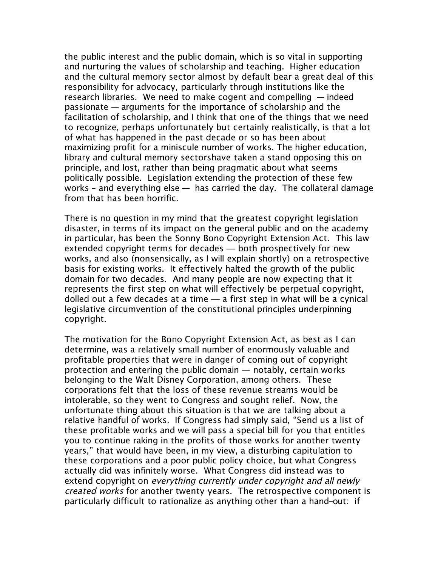the public interest and the public domain, which is so vital in supporting and nurturing the values of scholarship and teaching. Higher education and the cultural memory sector almost by default bear a great deal of this responsibility for advocacy, particularly through institutions like the research libraries. We need to make cogent and compelling  $-$  indeed  $passionate - arguments$  for the importance of scholarship and the facilitation of scholarship, and I think that one of the things that we need to recognize, perhaps unfortunately but certainly realistically, is that a lot of what has happened in the past decade or so has been about maximizing profit for a miniscule number of works. The higher education, library and cultural memory sectorshave taken a stand opposing this on principle, and lost, rather than being pragmatic about what seems politically possible. Legislation extending the protection of these few works – and everything else  $-$  has carried the day. The collateral damage from that has been horrific.

There is no question in my mind that the greatest copyright legislation disaster, in terms of its impact on the general public and on the academy in particular, has been the Sonny Bono Copyright Extension Act. This law extended copyright terms for decades — both prospectively for new works, and also (nonsensically, as I will explain shortly) on a retrospective basis for existing works. It effectively halted the growth of the public domain for two decades. And many people are now expecting that it represents the first step on what will effectively be perpetual copyright, dolled out a few decades at a time — a first step in what will be a cynical legislative circumvention of the constitutional principles underpinning copyright.

The motivation for the Bono Copyright Extension Act, as best as I can determine, was a relatively small number of enormously valuable and profitable properties that were in danger of coming out of copyright protection and entering the public domain — notably, certain works belonging to the Walt Disney Corporation, among others. These corporations felt that the loss of these revenue streams would be intolerable, so they went to Congress and sought relief. Now, the unfortunate thing about this situation is that we are talking about a relative handful of works. If Congress had simply said, "Send us a list of these profitable works and we will pass a special bill for you that entitles you to continue raking in the profits of those works for another twenty years," that would have been, in my view, a disturbing capitulation to these corporations and a poor public policy choice, but what Congress actually did was infinitely worse. What Congress did instead was to extend copyright on *everything currently under copyright and all newly* created works for another twenty years. The retrospective component is particularly difficult to rationalize as anything other than a hand-out: if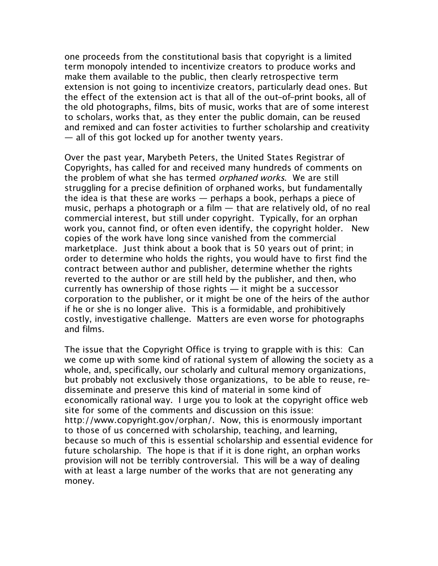one proceeds from the constitutional basis that copyright is a limited term monopoly intended to incentivize creators to produce works and make them available to the public, then clearly retrospective term extension is not going to incentivize creators, particularly dead ones. But the effect of the extension act is that all of the out-of-print books, all of the old photographs, films, bits of music, works that are of some interest to scholars, works that, as they enter the public domain, can be reused and remixed and can foster activities to further scholarship and creativity — all of this got locked up for another twenty years.

Over the past year, Marybeth Peters, the United States Registrar of Copyrights, has called for and received many hundreds of comments on the problem of what she has termed *orphaned works*. We are still struggling for a precise definition of orphaned works, but fundamentally the idea is that these are works — perhaps a book, perhaps a piece of music, perhaps a photograph or a film — that are relatively old, of no real commercial interest, but still under copyright. Typically, for an orphan work you, cannot find, or often even identify, the copyright holder. New copies of the work have long since vanished from the commercial marketplace. Just think about a book that is 50 years out of print; in order to determine who holds the rights, you would have to first find the contract between author and publisher, determine whether the rights reverted to the author or are still held by the publisher, and then, who currently has ownership of those rights — it might be a successor corporation to the publisher, or it might be one of the heirs of the author if he or she is no longer alive. This is a formidable, and prohibitively costly, investigative challenge. Matters are even worse for photographs and films.

The issue that the Copyright Office is trying to grapple with is this: Can we come up with some kind of rational system of allowing the society as a whole, and, specifically, our scholarly and cultural memory organizations, but probably not exclusively those organizations, to be able to reuse, redisseminate and preserve this kind of material in some kind of economically rational way. I urge you to look at the copyright office web site for some of the comments and discussion on this issue: http://www.copyright.gov/orphan/. Now, this is enormously important to those of us concerned with scholarship, teaching, and learning, because so much of this is essential scholarship and essential evidence for future scholarship. The hope is that if it is done right, an orphan works provision will not be terribly controversial. This will be a way of dealing with at least a large number of the works that are not generating any money.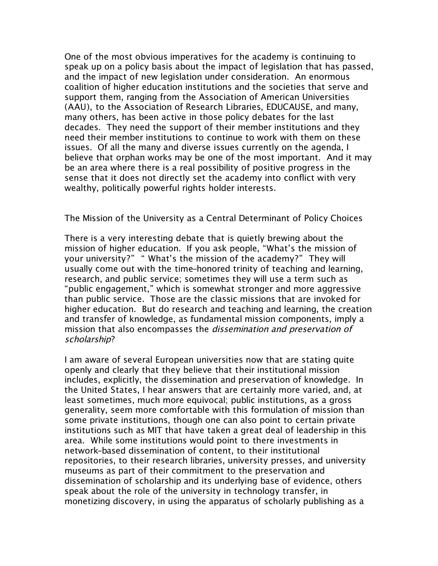One of the most obvious imperatives for the academy is continuing to speak up on a policy basis about the impact of legislation that has passed, and the impact of new legislation under consideration. An enormous coalition of higher education institutions and the societies that serve and support them, ranging from the Association of American Universities (AAU), to the Association of Research Libraries, EDUCAUSE, and many, many others, has been active in those policy debates for the last decades. They need the support of their member institutions and they need their member institutions to continue to work with them on these issues. Of all the many and diverse issues currently on the agenda, I believe that orphan works may be one of the most important. And it may be an area where there is a real possibility of positive progress in the sense that it does not directly set the academy into conflict with very wealthy, politically powerful rights holder interests.

The Mission of the University as a Central Determinant of Policy Choices

There is a very interesting debate that is quietly brewing about the mission of higher education. If you ask people, "What's the mission of your university?" " What's the mission of the academy?" They will usually come out with the time-honored trinity of teaching and learning, research, and public service; sometimes they will use a term such as "public engagement," which is somewhat stronger and more aggressive than public service. Those are the classic missions that are invoked for higher education. But do research and teaching and learning, the creation and transfer of knowledge, as fundamental mission components, imply a mission that also encompasses the dissemination and preservation of scholarship?

I am aware of several European universities now that are stating quite openly and clearly that they believe that their institutional mission includes, explicitly, the dissemination and preservation of knowledge. In the United States, I hear answers that are certainly more varied, and, at least sometimes, much more equivocal; public institutions, as a gross generality, seem more comfortable with this formulation of mission than some private institutions, though one can also point to certain private institutions such as MIT that have taken a great deal of leadership in this area. While some institutions would point to there investments in network-based dissemination of content, to their institutional repositories, to their research libraries, university presses, and university museums as part of their commitment to the preservation and dissemination of scholarship and its underlying base of evidence, others speak about the role of the university in technology transfer, in monetizing discovery, in using the apparatus of scholarly publishing as a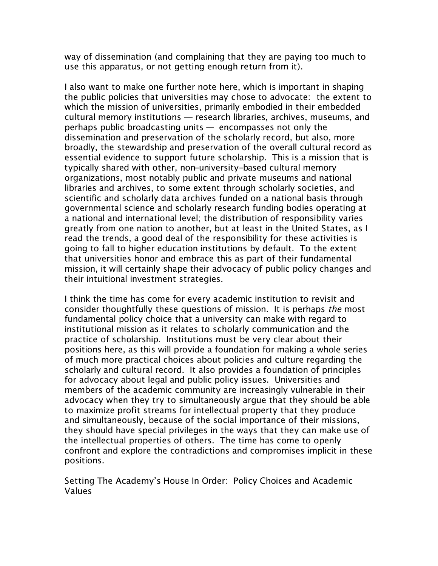way of dissemination (and complaining that they are paying too much to use this apparatus, or not getting enough return from it).

I also want to make one further note here, which is important in shaping the public policies that universities may chose to advocate: the extent to which the mission of universities, primarily embodied in their embedded cultural memory institutions — research libraries, archives, museums, and perhaps public broadcasting units  $-$  encompasses not only the dissemination and preservation of the scholarly record, but also, more broadly, the stewardship and preservation of the overall cultural record as essential evidence to support future scholarship. This is a mission that is typically shared with other, non-university-based cultural memory organizations, most notably public and private museums and national libraries and archives, to some extent through scholarly societies, and scientific and scholarly data archives funded on a national basis through governmental science and scholarly research funding bodies operating at a national and international level; the distribution of responsibility varies greatly from one nation to another, but at least in the United States, as I read the trends, a good deal of the responsibility for these activities is going to fall to higher education institutions by default. To the extent that universities honor and embrace this as part of their fundamental mission, it will certainly shape their advocacy of public policy changes and their intuitional investment strategies.

I think the time has come for every academic institution to revisit and consider thoughtfully these questions of mission. It is perhaps the most fundamental policy choice that a university can make with regard to institutional mission as it relates to scholarly communication and the practice of scholarship. Institutions must be very clear about their positions here, as this will provide a foundation for making a whole series of much more practical choices about policies and culture regarding the scholarly and cultural record. It also provides a foundation of principles for advocacy about legal and public policy issues. Universities and members of the academic community are increasingly vulnerable in their advocacy when they try to simultaneously argue that they should be able to maximize profit streams for intellectual property that they produce and simultaneously, because of the social importance of their missions, they should have special privileges in the ways that they can make use of the intellectual properties of others. The time has come to openly confront and explore the contradictions and compromises implicit in these positions.

Setting The Academy's House In Order: Policy Choices and Academic Values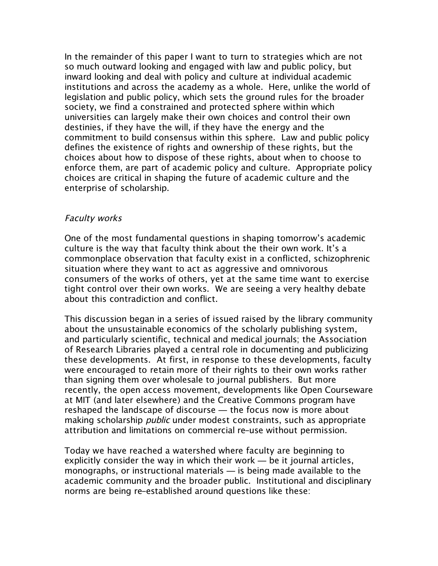In the remainder of this paper I want to turn to strategies which are not so much outward looking and engaged with law and public policy, but inward looking and deal with policy and culture at individual academic institutions and across the academy as a whole. Here, unlike the world of legislation and public policy, which sets the ground rules for the broader society, we find a constrained and protected sphere within which universities can largely make their own choices and control their own destinies, if they have the will, if they have the energy and the commitment to build consensus within this sphere. Law and public policy defines the existence of rights and ownership of these rights, but the choices about how to dispose of these rights, about when to choose to enforce them, are part of academic policy and culture. Appropriate policy choices are critical in shaping the future of academic culture and the enterprise of scholarship.

#### Faculty works

One of the most fundamental questions in shaping tomorrow's academic culture is the way that faculty think about the their own work. It's a commonplace observation that faculty exist in a conflicted, schizophrenic situation where they want to act as aggressive and omnivorous consumers of the works of others, yet at the same time want to exercise tight control over their own works. We are seeing a very healthy debate about this contradiction and conflict.

This discussion began in a series of issued raised by the library community about the unsustainable economics of the scholarly publishing system, and particularly scientific, technical and medical journals; the Association of Research Libraries played a central role in documenting and publicizing these developments. At first, in response to these developments, faculty were encouraged to retain more of their rights to their own works rather than signing them over wholesale to journal publishers. But more recently, the open access movement, developments like Open Courseware at MIT (and later elsewhere) and the Creative Commons program have reshaped the landscape of discourse — the focus now is more about making scholarship *public* under modest constraints, such as appropriate attribution and limitations on commercial re-use without permission.

Today we have reached a watershed where faculty are beginning to explicitly consider the way in which their work — be it journal articles, monographs, or instructional materials — is being made available to the academic community and the broader public. Institutional and disciplinary norms are being re-established around questions like these: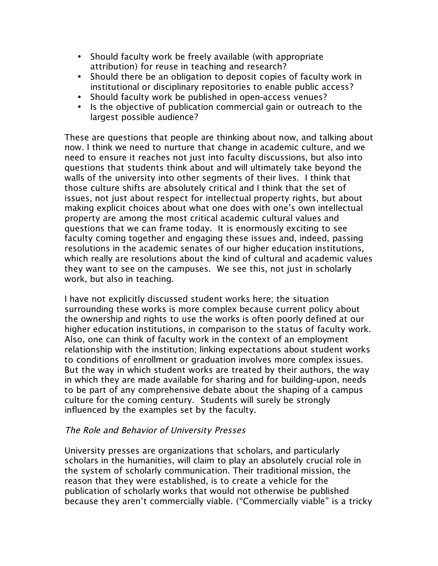- Should faculty work be freely available (with appropriate attribution) for reuse in teaching and research?
- Should there be an obligation to deposit copies of faculty work in institutional or disciplinary repositories to enable public access?
- Should faculty work be published in open-access venues?
- Is the objective of publication commercial gain or outreach to the largest possible audience?

These are questions that people are thinking about now, and talking about now. I think we need to nurture that change in academic culture, and we need to ensure it reaches not just into faculty discussions, but also into questions that students think about and will ultimately take beyond the walls of the university into other segments of their lives. I think that those culture shifts are absolutely critical and I think that the set of issues, not just about respect for intellectual property rights, but about making explicit choices about what one does with one's own intellectual property are among the most critical academic cultural values and questions that we can frame today. It is enormously exciting to see faculty coming together and engaging these issues and, indeed, passing resolutions in the academic senates of our higher education institutions, which really are resolutions about the kind of cultural and academic values they want to see on the campuses. We see this, not just in scholarly work, but also in teaching.

I have not explicitly discussed student works here; the situation surrounding these works is more complex because current policy about the ownership and rights to use the works is often poorly defined at our higher education institutions, in comparison to the status of faculty work. Also, one can think of faculty work in the context of an employment relationship with the institution; linking expectations about student works to conditions of enrollment or graduation involves more complex issues. But the way in which student works are treated by their authors, the way in which they are made available for sharing and for building-upon, needs to be part of any comprehensive debate about the shaping of a campus culture for the coming century. Students will surely be strongly influenced by the examples set by the faculty.

# The Role and Behavior of University Presses

University presses are organizations that scholars, and particularly scholars in the humanities, will claim to play an absolutely crucial role in the system of scholarly communication. Their traditional mission, the reason that they were established, is to create a vehicle for the publication of scholarly works that would not otherwise be published because they aren't commercially viable. ("Commercially viable" is a tricky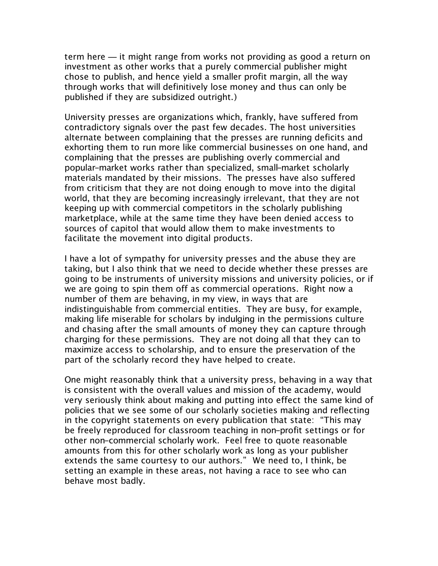term here — it might range from works not providing as good a return on investment as other works that a purely commercial publisher might chose to publish, and hence yield a smaller profit margin, all the way through works that will definitively lose money and thus can only be published if they are subsidized outright.)

University presses are organizations which, frankly, have suffered from contradictory signals over the past few decades. The host universities alternate between complaining that the presses are running deficits and exhorting them to run more like commercial businesses on one hand, and complaining that the presses are publishing overly commercial and popular-market works rather than specialized, small-market scholarly materials mandated by their missions. The presses have also suffered from criticism that they are not doing enough to move into the digital world, that they are becoming increasingly irrelevant, that they are not keeping up with commercial competitors in the scholarly publishing marketplace, while at the same time they have been denied access to sources of capitol that would allow them to make investments to facilitate the movement into digital products.

I have a lot of sympathy for university presses and the abuse they are taking, but I also think that we need to decide whether these presses are going to be instruments of university missions and university policies, or if we are going to spin them off as commercial operations. Right now a number of them are behaving, in my view, in ways that are indistinguishable from commercial entities. They are busy, for example, making life miserable for scholars by indulging in the permissions culture and chasing after the small amounts of money they can capture through charging for these permissions. They are not doing all that they can to maximize access to scholarship, and to ensure the preservation of the part of the scholarly record they have helped to create.

One might reasonably think that a university press, behaving in a way that is consistent with the overall values and mission of the academy, would very seriously think about making and putting into effect the same kind of policies that we see some of our scholarly societies making and reflecting in the copyright statements on every publication that state: "This may be freely reproduced for classroom teaching in non-profit settings or for other non-commercial scholarly work. Feel free to quote reasonable amounts from this for other scholarly work as long as your publisher extends the same courtesy to our authors." We need to, I think, be setting an example in these areas, not having a race to see who can behave most badly.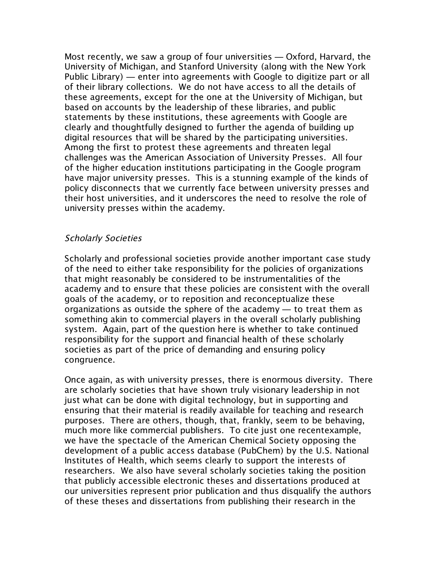Most recently, we saw a group of four universities — Oxford, Harvard, the University of Michigan, and Stanford University (along with the New York Public Library) — enter into agreements with Google to digitize part or all of their library collections. We do not have access to all the details of these agreements, except for the one at the University of Michigan, but based on accounts by the leadership of these libraries, and public statements by these institutions, these agreements with Google are clearly and thoughtfully designed to further the agenda of building up digital resources that will be shared by the participating universities. Among the first to protest these agreements and threaten legal challenges was the American Association of University Presses. All four of the higher education institutions participating in the Google program have major university presses. This is a stunning example of the kinds of policy disconnects that we currently face between university presses and their host universities, and it underscores the need to resolve the role of university presses within the academy.

### Scholarly Societies

Scholarly and professional societies provide another important case study of the need to either take responsibility for the policies of organizations that might reasonably be considered to be instrumentalities of the academy and to ensure that these policies are consistent with the overall goals of the academy, or to reposition and reconceptualize these organizations as outside the sphere of the academy — to treat them as something akin to commercial players in the overall scholarly publishing system. Again, part of the question here is whether to take continued responsibility for the support and financial health of these scholarly societies as part of the price of demanding and ensuring policy congruence.

Once again, as with university presses, there is enormous diversity. There are scholarly societies that have shown truly visionary leadership in not just what can be done with digital technology, but in supporting and ensuring that their material is readily available for teaching and research purposes. There are others, though, that, frankly, seem to be behaving, much more like commercial publishers. To cite just one recentexample, we have the spectacle of the American Chemical Society opposing the development of a public access database (PubChem) by the U.S. National Institutes of Health, which seems clearly to support the interests of researchers. We also have several scholarly societies taking the position that publicly accessible electronic theses and dissertations produced at our universities represent prior publication and thus disqualify the authors of these theses and dissertations from publishing their research in the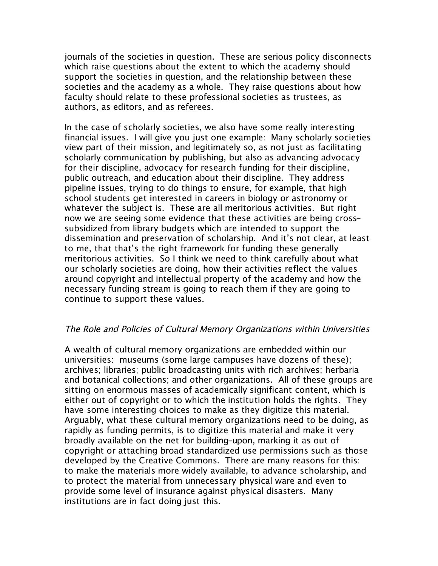journals of the societies in question. These are serious policy disconnects which raise questions about the extent to which the academy should support the societies in question, and the relationship between these societies and the academy as a whole. They raise questions about how faculty should relate to these professional societies as trustees, as authors, as editors, and as referees.

In the case of scholarly societies, we also have some really interesting financial issues. I will give you just one example: Many scholarly societies view part of their mission, and legitimately so, as not just as facilitating scholarly communication by publishing, but also as advancing advocacy for their discipline, advocacy for research funding for their discipline, public outreach, and education about their discipline. They address pipeline issues, trying to do things to ensure, for example, that high school students get interested in careers in biology or astronomy or whatever the subject is. These are all meritorious activities. But right now we are seeing some evidence that these activities are being crosssubsidized from library budgets which are intended to support the dissemination and preservation of scholarship. And it's not clear, at least to me, that that's the right framework for funding these generally meritorious activities. So I think we need to think carefully about what our scholarly societies are doing, how their activities reflect the values around copyright and intellectual property of the academy and how the necessary funding stream is going to reach them if they are going to continue to support these values.

# The Role and Policies of Cultural Memory Organizations within Universities

A wealth of cultural memory organizations are embedded within our universities: museums (some large campuses have dozens of these); archives; libraries; public broadcasting units with rich archives; herbaria and botanical collections; and other organizations. All of these groups are sitting on enormous masses of academically significant content, which is either out of copyright or to which the institution holds the rights. They have some interesting choices to make as they digitize this material. Arguably, what these cultural memory organizations need to be doing, as rapidly as funding permits, is to digitize this material and make it very broadly available on the net for building-upon, marking it as out of copyright or attaching broad standardized use permissions such as those developed by the Creative Commons. There are many reasons for this: to make the materials more widely available, to advance scholarship, and to protect the material from unnecessary physical ware and even to provide some level of insurance against physical disasters. Many institutions are in fact doing just this.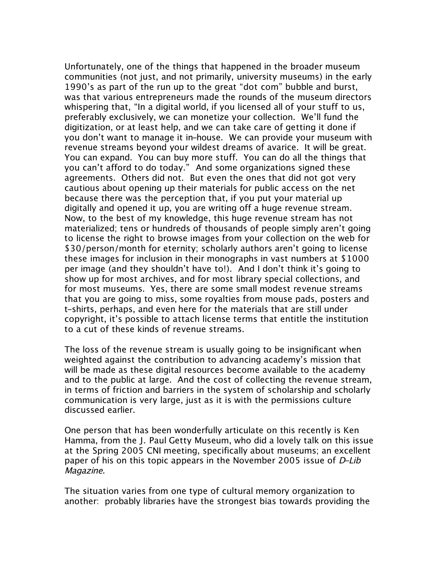Unfortunately, one of the things that happened in the broader museum communities (not just, and not primarily, university museums) in the early 1990's as part of the run up to the great "dot com" bubble and burst, was that various entrepreneurs made the rounds of the museum directors whispering that, "In a digital world, if you licensed all of your stuff to us, preferably exclusively, we can monetize your collection. We'll fund the digitization, or at least help, and we can take care of getting it done if you don't want to manage it in-house. We can provide your museum with revenue streams beyond your wildest dreams of avarice. It will be great. You can expand. You can buy more stuff. You can do all the things that you can't afford to do today." And some organizations signed these agreements. Others did not. But even the ones that did not got very cautious about opening up their materials for public access on the net because there was the perception that, if you put your material up digitally and opened it up, you are writing off a huge revenue stream. Now, to the best of my knowledge, this huge revenue stream has not materialized; tens or hundreds of thousands of people simply aren't going to license the right to browse images from your collection on the web for \$30/person/month for eternity; scholarly authors aren't going to license these images for inclusion in their monographs in vast numbers at \$1000 per image (and they shouldn't have to!). And I don't think it's going to show up for most archives, and for most library special collections, and for most museums. Yes, there are some small modest revenue streams that you are going to miss, some royalties from mouse pads, posters and t-shirts, perhaps, and even here for the materials that are still under copyright, it's possible to attach license terms that entitle the institution to a cut of these kinds of revenue streams.

The loss of the revenue stream is usually going to be insignificant when weighted against the contribution to advancing academy's mission that will be made as these digital resources become available to the academy and to the public at large. And the cost of collecting the revenue stream, in terms of friction and barriers in the system of scholarship and scholarly communication is very large, just as it is with the permissions culture discussed earlier.

One person that has been wonderfully articulate on this recently is Ken Hamma, from the J. Paul Getty Museum, who did a lovely talk on this issue at the Spring 2005 CNI meeting, specifically about museums; an excellent paper of his on this topic appears in the November 2005 issue of D-Lib Magazine.

The situation varies from one type of cultural memory organization to another: probably libraries have the strongest bias towards providing the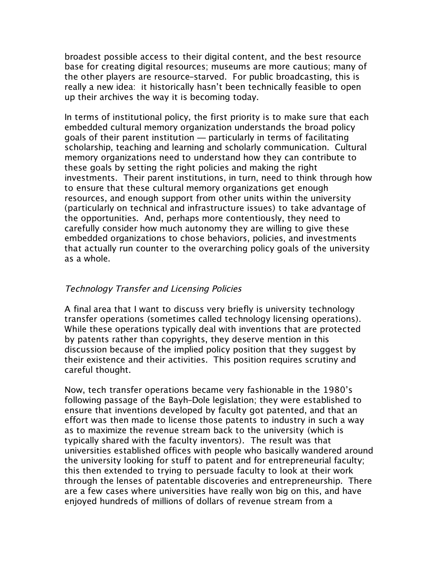broadest possible access to their digital content, and the best resource base for creating digital resources; museums are more cautious; many of the other players are resource-starved. For public broadcasting, this is really a new idea: it historically hasn't been technically feasible to open up their archives the way it is becoming today.

In terms of institutional policy, the first priority is to make sure that each embedded cultural memory organization understands the broad policy goals of their parent institution — particularly in terms of facilitating scholarship, teaching and learning and scholarly communication. Cultural memory organizations need to understand how they can contribute to these goals by setting the right policies and making the right investments. Their parent institutions, in turn, need to think through how to ensure that these cultural memory organizations get enough resources, and enough support from other units within the university (particularly on technical and infrastructure issues) to take advantage of the opportunities. And, perhaps more contentiously, they need to carefully consider how much autonomy they are willing to give these embedded organizations to chose behaviors, policies, and investments that actually run counter to the overarching policy goals of the university as a whole.

# Technology Transfer and Licensing Policies

A final area that I want to discuss very briefly is university technology transfer operations (sometimes called technology licensing operations). While these operations typically deal with inventions that are protected by patents rather than copyrights, they deserve mention in this discussion because of the implied policy position that they suggest by their existence and their activities. This position requires scrutiny and careful thought.

Now, tech transfer operations became very fashionable in the 1980's following passage of the Bayh-Dole legislation; they were established to ensure that inventions developed by faculty got patented, and that an effort was then made to license those patents to industry in such a way as to maximize the revenue stream back to the university (which is typically shared with the faculty inventors). The result was that universities established offices with people who basically wandered around the university looking for stuff to patent and for entrepreneurial faculty; this then extended to trying to persuade faculty to look at their work through the lenses of patentable discoveries and entrepreneurship. There are a few cases where universities have really won big on this, and have enjoyed hundreds of millions of dollars of revenue stream from a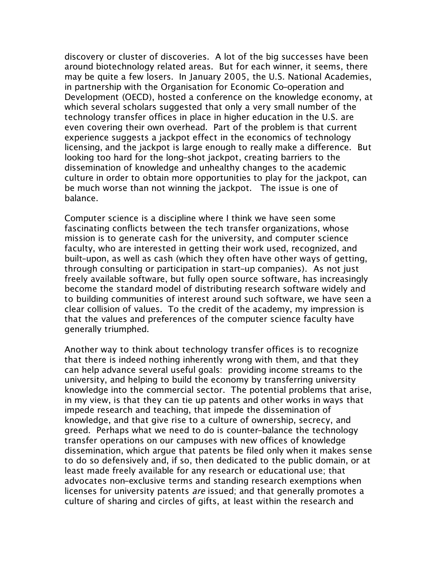discovery or cluster of discoveries. A lot of the big successes have been around biotechnology related areas. But for each winner, it seems, there may be quite a few losers. In January 2005, the U.S. National Academies, in partnership with the Organisation for Economic Co-operation and Development (OECD), hosted a conference on the knowledge economy, at which several scholars suggested that only a very small number of the technology transfer offices in place in higher education in the U.S. are even covering their own overhead. Part of the problem is that current experience suggests a jackpot effect in the economics of technology licensing, and the jackpot is large enough to really make a difference. But looking too hard for the long-shot jackpot, creating barriers to the dissemination of knowledge and unhealthy changes to the academic culture in order to obtain more opportunities to play for the jackpot, can be much worse than not winning the jackpot. The issue is one of balance.

Computer science is a discipline where I think we have seen some fascinating conflicts between the tech transfer organizations, whose mission is to generate cash for the university, and computer science faculty, who are interested in getting their work used, recognized, and built-upon, as well as cash (which they often have other ways of getting, through consulting or participation in start-up companies). As not just freely available software, but fully open source software, has increasingly become the standard model of distributing research software widely and to building communities of interest around such software, we have seen a clear collision of values. To the credit of the academy, my impression is that the values and preferences of the computer science faculty have generally triumphed.

Another way to think about technology transfer offices is to recognize that there is indeed nothing inherently wrong with them, and that they can help advance several useful goals: providing income streams to the university, and helping to build the economy by transferring university knowledge into the commercial sector. The potential problems that arise, in my view, is that they can tie up patents and other works in ways that impede research and teaching, that impede the dissemination of knowledge, and that give rise to a culture of ownership, secrecy, and greed. Perhaps what we need to do is counter-balance the technology transfer operations on our campuses with new offices of knowledge dissemination, which argue that patents be filed only when it makes sense to do so defensively and, if so, then dedicated to the public domain, or at least made freely available for any research or educational use; that advocates non-exclusive terms and standing research exemptions when licenses for university patents are issued; and that generally promotes a culture of sharing and circles of gifts, at least within the research and